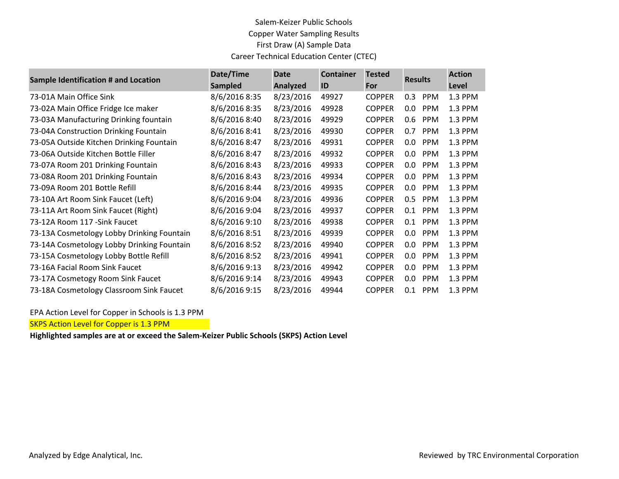## Salem-Keizer Public Schools Copper Water Sampling Results First Draw (A) Sample Data Career Technical Education Center (CTEC)

| Sample Identification # and Location       | Date/Time      | <b>Date</b>     | <b>Container</b> | <b>Tested</b> | <b>Results</b>        | <b>Action</b> |
|--------------------------------------------|----------------|-----------------|------------------|---------------|-----------------------|---------------|
|                                            | <b>Sampled</b> | <b>Analyzed</b> | ID               | For           |                       | Level         |
| 73-01A Main Office Sink                    | 8/6/2016 8:35  | 8/23/2016       | 49927            | <b>COPPER</b> | <b>PPM</b><br>0.3     | 1.3 PPM       |
| 73-02A Main Office Fridge Ice maker        | 8/6/2016 8:35  | 8/23/2016       | 49928            | <b>COPPER</b> | 0.0<br><b>PPM</b>     | 1.3 PPM       |
| 73-03A Manufacturing Drinking fountain     | 8/6/2016 8:40  | 8/23/2016       | 49929            | <b>COPPER</b> | 0.6<br><b>PPM</b>     | 1.3 PPM       |
| 73-04A Construction Drinking Fountain      | 8/6/2016 8:41  | 8/23/2016       | 49930            | <b>COPPER</b> | 0.7<br><b>PPM</b>     | 1.3 PPM       |
| 73-05A Outside Kitchen Drinking Fountain   | 8/6/2016 8:47  | 8/23/2016       | 49931            | <b>COPPER</b> | <b>PPM</b><br>$0.0\,$ | 1.3 PPM       |
| 73-06A Outside Kitchen Bottle Filler       | 8/6/2016 8:47  | 8/23/2016       | 49932            | <b>COPPER</b> | <b>PPM</b><br>0.0     | 1.3 PPM       |
| 73-07A Room 201 Drinking Fountain          | 8/6/2016 8:43  | 8/23/2016       | 49933            | <b>COPPER</b> | <b>PPM</b><br>0.0     | 1.3 PPM       |
| 73-08A Room 201 Drinking Fountain          | 8/6/2016 8:43  | 8/23/2016       | 49934            | <b>COPPER</b> | <b>PPM</b><br>0.0     | 1.3 PPM       |
| 73-09A Room 201 Bottle Refill              | 8/6/2016 8:44  | 8/23/2016       | 49935            | <b>COPPER</b> | <b>PPM</b><br>0.0     | 1.3 PPM       |
| 73-10A Art Room Sink Faucet (Left)         | 8/6/2016 9:04  | 8/23/2016       | 49936            | <b>COPPER</b> | 0.5<br><b>PPM</b>     | 1.3 PPM       |
| 73-11A Art Room Sink Faucet (Right)        | 8/6/2016 9:04  | 8/23/2016       | 49937            | <b>COPPER</b> | <b>PPM</b><br>0.1     | 1.3 PPM       |
| 73-12A Room 117 - Sink Faucet              | 8/6/2016 9:10  | 8/23/2016       | 49938            | <b>COPPER</b> | <b>PPM</b><br>0.1     | 1.3 PPM       |
| 73-13A Cosmetology Lobby Drinking Fountain | 8/6/2016 8:51  | 8/23/2016       | 49939            | <b>COPPER</b> | 0.0<br><b>PPM</b>     | 1.3 PPM       |
| 73-14A Cosmetology Lobby Drinking Fountain | 8/6/2016 8:52  | 8/23/2016       | 49940            | <b>COPPER</b> | 0.0<br><b>PPM</b>     | 1.3 PPM       |
| 73-15A Cosmetology Lobby Bottle Refill     | 8/6/2016 8:52  | 8/23/2016       | 49941            | <b>COPPER</b> | <b>PPM</b><br>0.0     | 1.3 PPM       |
| 73-16A Facial Room Sink Faucet             | 8/6/2016 9:13  | 8/23/2016       | 49942            | <b>COPPER</b> | <b>PPM</b><br>0.0     | 1.3 PPM       |
| 73-17A Cosmetogy Room Sink Faucet          | 8/6/2016 9:14  | 8/23/2016       | 49943            | <b>COPPER</b> | <b>PPM</b><br>0.0     | 1.3 PPM       |
| 73-18A Cosmetology Classroom Sink Faucet   | 8/6/2016 9:15  | 8/23/2016       | 49944            | <b>COPPER</b> | <b>PPM</b><br>0.1     | 1.3 PPM       |

EPA Action Level for Copper in Schools is 1.3 PPM

**SKPS Action Level for Copper is 1.3 PPM** 

**Highlighted samples are at or exceed the Salem-Keizer Public Schools (SKPS) Action Level**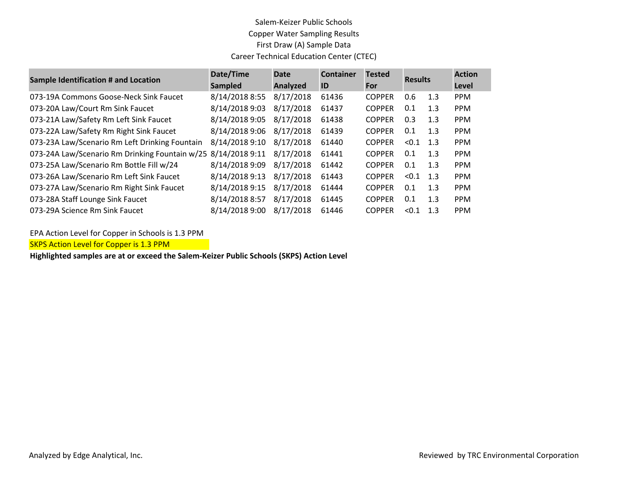## Salem-Keizer Public Schools Copper Water Sampling Results First Draw (A) Sample Data Career Technical Education Center (CTEC)

| <b>Sample Identification # and Location</b>                   | Date/Time<br><b>Sampled</b> | <b>Date</b><br><b>Analyzed</b> | <b>Container</b><br>ID | <b>Tested</b><br>For | <b>Results</b> |     | <b>Action</b><br>Level |
|---------------------------------------------------------------|-----------------------------|--------------------------------|------------------------|----------------------|----------------|-----|------------------------|
| 073-19A Commons Goose-Neck Sink Faucet                        | 8/14/2018 8:55              | 8/17/2018                      | 61436                  | <b>COPPER</b>        | 0.6            | 1.3 | <b>PPM</b>             |
| 073-20A Law/Court Rm Sink Faucet                              | 8/14/2018 9:03              | 8/17/2018                      | 61437                  | <b>COPPER</b>        | 0.1            | 1.3 | <b>PPM</b>             |
| 073-21A Law/Safety Rm Left Sink Faucet                        | 8/14/2018 9:05              | 8/17/2018                      | 61438                  | <b>COPPER</b>        | 0.3            | 1.3 | <b>PPM</b>             |
| 073-22A Law/Safety Rm Right Sink Faucet                       | 8/14/2018 9:06              | 8/17/2018                      | 61439                  | <b>COPPER</b>        | 0.1            | 1.3 | <b>PPM</b>             |
| 073-23A Law/Scenario Rm Left Drinking Fountain                | 8/14/2018 9:10              | 8/17/2018                      | 61440                  | <b>COPPER</b>        | < 0.1          | 1.3 | <b>PPM</b>             |
| 073-24A Law/Scenario Rm Drinking Fountain w/25 8/14/2018 9:11 |                             | 8/17/2018                      | 61441                  | <b>COPPER</b>        | 0.1            | 1.3 | <b>PPM</b>             |
| 073-25A Law/Scenario Rm Bottle Fill w/24                      | 8/14/2018 9:09              | 8/17/2018                      | 61442                  | <b>COPPER</b>        | 0.1            | 1.3 | <b>PPM</b>             |
| 073-26A Law/Scenario Rm Left Sink Faucet                      | 8/14/2018 9:13              | 8/17/2018                      | 61443                  | <b>COPPER</b>        | < 0.1          | 1.3 | <b>PPM</b>             |
| 073-27A Law/Scenario Rm Right Sink Faucet                     | 8/14/2018 9:15              | 8/17/2018                      | 61444                  | <b>COPPER</b>        | 0.1            | 1.3 | <b>PPM</b>             |
| 073-28A Staff Lounge Sink Faucet                              | 8/14/2018 8:57              | 8/17/2018                      | 61445                  | <b>COPPER</b>        | 0.1            | 1.3 | <b>PPM</b>             |
| 073-29A Science Rm Sink Faucet                                | 8/14/2018 9:00              | 8/17/2018                      | 61446                  | <b>COPPER</b>        | < 0.1          | 1.3 | <b>PPM</b>             |

EPA Action Level for Copper in Schools is 1.3 PPM

**SKPS Action Level for Copper is 1.3 PPM** 

**Highlighted samples are at or exceed the Salem-Keizer Public Schools (SKPS) Action Level**